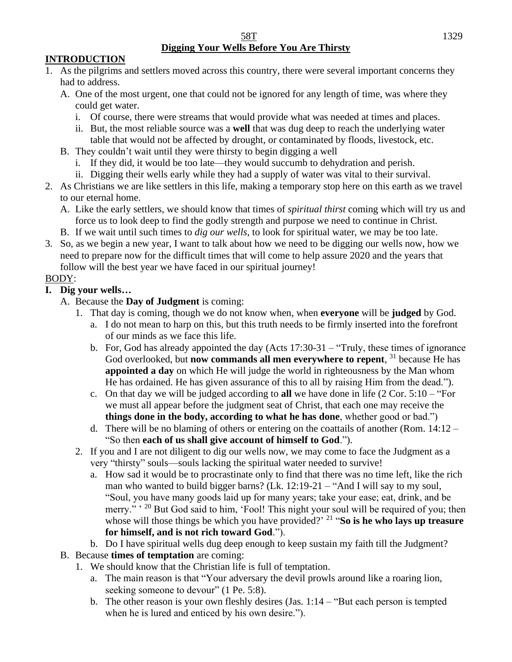#### 58T 1329 **Digging Your Wells Before You Are Thirsty**

## **INTRODUCTION**

- 1. As the pilgrims and settlers moved across this country, there were several important concerns they had to address.
	- A. One of the most urgent, one that could not be ignored for any length of time, was where they could get water.
		- i. Of course, there were streams that would provide what was needed at times and places.
		- ii. But, the most reliable source was a **well** that was dug deep to reach the underlying water table that would not be affected by drought, or contaminated by floods, livestock, etc.
	- B. They couldn't wait until they were thirsty to begin digging a well
		- i. If they did, it would be too late—they would succumb to dehydration and perish.
		- ii. Digging their wells early while they had a supply of water was vital to their survival.
- 2. As Christians we are like settlers in this life, making a temporary stop here on this earth as we travel to our eternal home.
	- A. Like the early settlers, we should know that times of *spiritual thirst* coming which will try us and force us to look deep to find the godly strength and purpose we need to continue in Christ.
	- B. If we wait until such times to *dig our wells*, to look for spiritual water, we may be too late.
- 3. So, as we begin a new year, I want to talk about how we need to be digging our wells now, how we need to prepare now for the difficult times that will come to help assure 2020 and the years that follow will the best year we have faced in our spiritual journey!

### BODY:

### **I. Dig your wells…**

- A. Because the **Day of Judgment** is coming:
	- 1. That day is coming, though we do not know when, when **everyone** will be **judged** by God.
		- a. I do not mean to harp on this, but this truth needs to be firmly inserted into the forefront of our minds as we face this life.
		- b. For, God has already appointed the day (Acts 17:30-31 "Truly, these times of ignorance God overlooked, but **now commands all men everywhere to repent**, <sup>31</sup> because He has **appointed a day** on which He will judge the world in righteousness by the Man whom He has ordained. He has given assurance of this to all by raising Him from the dead.").
		- c. On that day we will be judged according to **all** we have done in life (2 Cor. 5:10 "For we must all appear before the judgment seat of Christ, that each one may receive the **things done in the body, according to what he has done**, whether good or bad.")
		- d. There will be no blaming of others or entering on the coattails of another (Rom. 14:12 "So then **each of us shall give account of himself to God**.").
	- 2. If you and I are not diligent to dig our wells now, we may come to face the Judgment as a very "thirsty" souls—souls lacking the spiritual water needed to survive!
		- a. How sad it would be to procrastinate only to find that there was no time left, like the rich man who wanted to build bigger barns? (Lk.  $12:19-21$  – "And I will say to my soul, "Soul, you have many goods laid up for many years; take your ease; eat, drink, and be merry." <sup>20</sup> But God said to him, 'Fool! This night your soul will be required of you; then whose will those things be which you have provided?<sup>21</sup> "So is he who lays up treasure **for himself, and is not rich toward God**.").
		- b. Do I have spiritual wells dug deep enough to keep sustain my faith till the Judgment?
- B. Because **times of temptation** are coming:
	- 1. We should know that the Christian life is full of temptation.
		- a. The main reason is that "Your adversary the devil prowls around like a roaring lion, seeking someone to devour" (1 Pe. 5:8).
		- b. The other reason is your own fleshly desires (Jas. 1:14 "But each person is tempted when he is lured and enticed by his own desire.").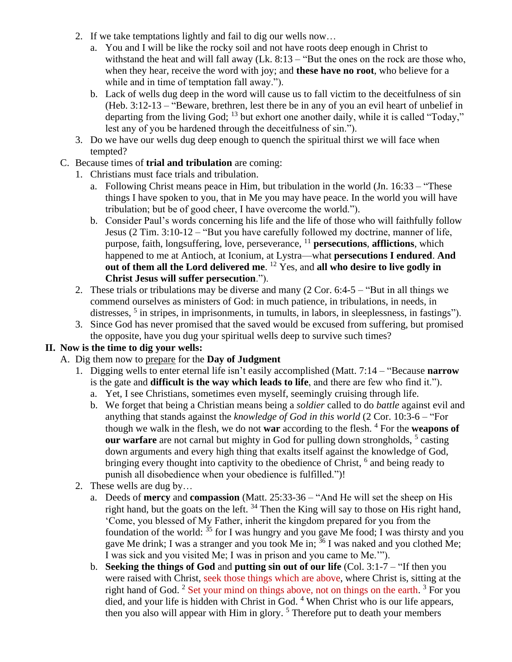- 2. If we take temptations lightly and fail to dig our wells now…
	- a. You and I will be like the rocky soil and not have roots deep enough in Christ to withstand the heat and will fall away (Lk. 8:13 – "But the ones on the rock are those who, when they hear, receive the word with joy; and **these have no root**, who believe for a while and in time of temptation fall away.").
	- b. Lack of wells dug deep in the word will cause us to fall victim to the deceitfulness of sin (Heb. 3:12-13 – "Beware, brethren, lest there be in any of you an evil heart of unbelief in departing from the living God;  $^{13}$  but exhort one another daily, while it is called "Today," lest any of you be hardened through the deceitfulness of sin.").
- 3. Do we have our wells dug deep enough to quench the spiritual thirst we will face when tempted?
- C. Because times of **trial and tribulation** are coming:
	- 1. Christians must face trials and tribulation.
		- a. Following Christ means peace in Him, but tribulation in the world (Jn. 16:33 "These things I have spoken to you, that in Me you may have peace. In the world you will have tribulation; but be of good cheer, I have overcome the world.").
		- b. Consider Paul's words concerning his life and the life of those who will faithfully follow Jesus (2 Tim. 3:10-12 – "But you have carefully followed my doctrine, manner of life, purpose, faith, longsuffering, love, perseverance, <sup>11</sup> **persecutions**, **afflictions**, which happened to me at Antioch, at Iconium, at Lystra—what **persecutions I endured**. **And out of them all the Lord delivered me**. <sup>12</sup> Yes, and **all who desire to live godly in Christ Jesus will suffer persecution**.").
	- 2. These trials or tribulations may be diverse and many (2 Cor. 6:4-5 "But in all things we commend ourselves as ministers of God: in much patience, in tribulations, in needs, in distresses, <sup>5</sup> in stripes, in imprisonments, in tumults, in labors, in sleeplessness, in fastings").
	- 3. Since God has never promised that the saved would be excused from suffering, but promised the opposite, have you dug your spiritual wells deep to survive such times?

### **II. Now is the time to dig your wells:**

- A. Dig them now to prepare for the **Day of Judgment**
	- 1. Digging wells to enter eternal life isn't easily accomplished (Matt. 7:14 "Because **narrow** is the gate and **difficult is the way which leads to life**, and there are few who find it.").
		- a. Yet, I see Christians, sometimes even myself, seemingly cruising through life.
		- b. We forget that being a Christian means being a *soldier* called to do *battle* against evil and anything that stands against the *knowledge of God in this world* (2 Cor. 10:3-6 – "For though we walk in the flesh, we do not **war** according to the flesh. <sup>4</sup> For the **weapons of our warfare** are not carnal but mighty in God for pulling down strongholds, <sup>5</sup> casting down arguments and every high thing that exalts itself against the knowledge of God, bringing every thought into captivity to the obedience of Christ, <sup>6</sup> and being ready to punish all disobedience when your obedience is fulfilled.")!
	- 2. These wells are dug by…
		- a. Deeds of **mercy** and **compassion** (Matt. 25:33-36 "And He will set the sheep on His right hand, but the goats on the left.  $34$  Then the King will say to those on His right hand, 'Come, you blessed of My Father, inherit the kingdom prepared for you from the foundation of the world:  $35$  for I was hungry and you gave Me food; I was thirsty and you gave Me drink; I was a stranger and you took Me in;  $36$  I was naked and you clothed Me; I was sick and you visited Me; I was in prison and you came to Me.'").
		- b. **Seeking the things of God** and **putting sin out of our life** (Col. 3:1-7 "If then you were raised with Christ, seek those things which are above, where Christ is, sitting at the right hand of God.<sup>2</sup> Set your mind on things above, not on things on the earth.<sup>3</sup> For you died, and your life is hidden with Christ in God. <sup>4</sup> When Christ who is our life appears, then you also will appear with Him in glory.<sup>5</sup> Therefore put to death your members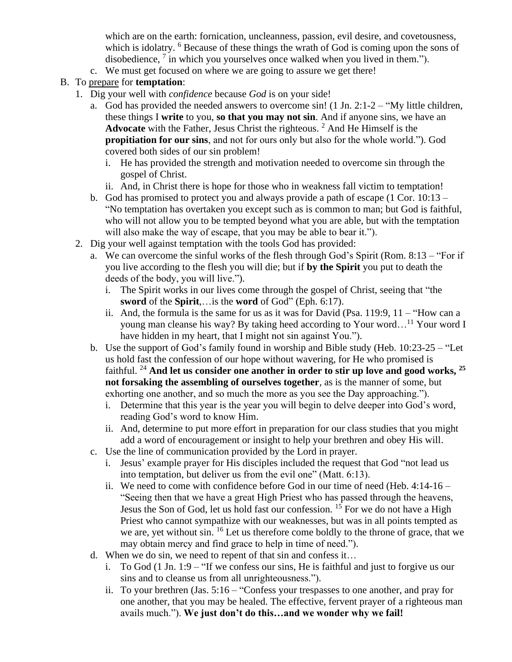which are on the earth: fornication, uncleanness, passion, evil desire, and covetousness, which is idolatry. <sup>6</sup> Because of these things the wrath of God is coming upon the sons of disobedience, <sup>7</sup> in which you yourselves once walked when you lived in them.").

- c. We must get focused on where we are going to assure we get there!
- B. To prepare for **temptation**:
	- 1. Dig your well with *confidence* because *God* is on your side!
		- a. God has provided the needed answers to overcome sin! (1 Jn.  $2:1-2$  "My little children, these things I **write** to you, **so that you may not sin**. And if anyone sins, we have an Advocate with the Father, Jesus Christ the righteous. <sup>2</sup> And He Himself is the **propitiation for our sins**, and not for ours only but also for the whole world."). God covered both sides of our sin problem!
			- i. He has provided the strength and motivation needed to overcome sin through the gospel of Christ.
			- ii. And, in Christ there is hope for those who in weakness fall victim to temptation!
		- b. God has promised to protect you and always provide a path of escape (1 Cor. 10:13 "No temptation has overtaken you except such as is common to man; but God is faithful, who will not allow you to be tempted beyond what you are able, but with the temptation will also make the way of escape, that you may be able to bear it.").
	- 2. Dig your well against temptation with the tools God has provided:
		- a. We can overcome the sinful works of the flesh through God's Spirit (Rom. 8:13 "For if you live according to the flesh you will die; but if **by the Spirit** you put to death the deeds of the body, you will live.").
			- i. The Spirit works in our lives come through the gospel of Christ, seeing that "the **sword** of the **Spirit**,…is the **word** of God" (Eph. 6:17).
			- ii. And, the formula is the same for us as it was for David (Psa. 119:9, 11 "How can a young man cleanse his way? By taking heed according to Your word…<sup>11</sup> Your word I have hidden in my heart, that I might not sin against You.").
		- b. Use the support of God's family found in worship and Bible study (Heb. 10:23-25 "Let us hold fast the confession of our hope without wavering, for He who promised is faithful. <sup>24</sup> **And let us consider one another in order to stir up love and good works, <sup>25</sup> not forsaking the assembling of ourselves together**, as is the manner of some, but exhorting one another, and so much the more as you see the Day approaching.").
			- i. Determine that this year is the year you will begin to delve deeper into God's word, reading God's word to know Him.
			- ii. And, determine to put more effort in preparation for our class studies that you might add a word of encouragement or insight to help your brethren and obey His will.
		- c. Use the line of communication provided by the Lord in prayer.
			- i. Jesus' example prayer for His disciples included the request that God "not lead us into temptation, but deliver us from the evil one" (Matt. 6:13).
			- ii. We need to come with confidence before God in our time of need (Heb. 4:14-16 "Seeing then that we have a great High Priest who has passed through the heavens, Jesus the Son of God, let us hold fast our confession. <sup>15</sup> For we do not have a High Priest who cannot sympathize with our weaknesses, but was in all points tempted as we are, yet without sin. <sup>16</sup> Let us therefore come boldly to the throne of grace, that we may obtain mercy and find grace to help in time of need.").
		- d. When we do sin, we need to repent of that sin and confess it…
			- i. To God (1 Jn. 1:9 "If we confess our sins, He is faithful and just to forgive us our sins and to cleanse us from all unrighteousness.").
			- ii. To your brethren (Jas. 5:16 "Confess your trespasses to one another, and pray for one another, that you may be healed. The effective, fervent prayer of a righteous man avails much."). **We just don't do this…and we wonder why we fail!**